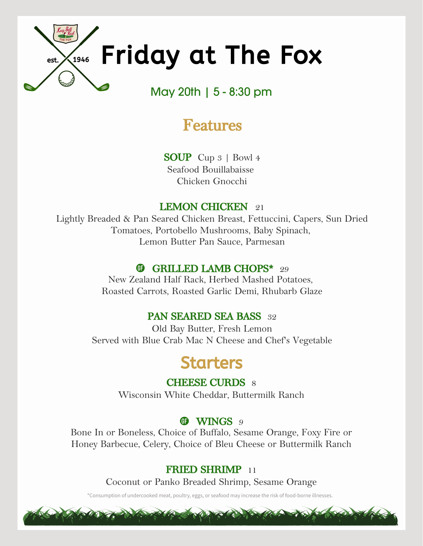

# **Features**

**SOUP** Cup 3 | Bowl 4 Seafood Bouillabaisse Chicken Gnocchi

# **LEMON CHICKEN** 21

Lightly Breaded & Pan Seared Chicken Breast, Fettuccini, Capers, Sun Dried Tomatoes, Portobello Mushrooms, Baby Spinach, Lemon Butter Pan Sauce, Parmesan

# **GRILLED LAMB CHOPS\*** 29

New Zealand Half Rack, Herbed Mashed Potatoes, Roasted Carrots, Roasted Garlic Demi, Rhubarb Glaze

# **PAN SEARED SEA BASS** 32

Old Bay Butter, Fresh Lemon Served with Blue Crab Mac N Cheese and Chef's Vegetable

# Starters

**CHEESE CURDS** 8

Wisconsin White Cheddar, Buttermilk Ranch

# **CD** WINGS 9

Bone In or Boneless, Choice of Buffalo, Sesame Orange, Foxy Fire or Honey Barbecue, Celery, Choice of Bleu Cheese or Buttermilk Ranch

# **FRIED SHRIMP** 11

Coconut or Panko Breaded Shrimp, Sesame Orange

\*Consumption of undercooked meat, poultry, eggs, or seafood may increase the risk of food-borne illnesses.

and the way and the morning